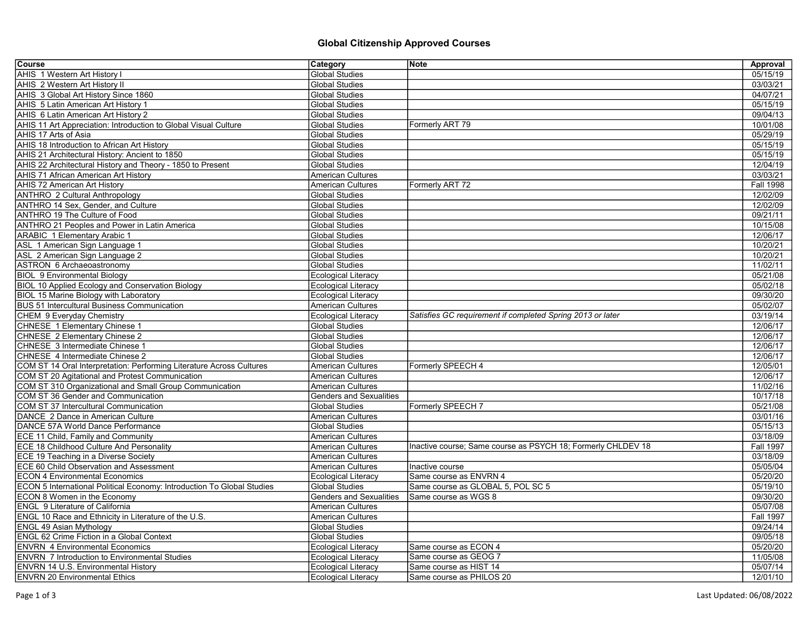## Global Citizenship Approved Courses

| Course                                                                 | Category                       | ∣Note                                                        | Approval         |
|------------------------------------------------------------------------|--------------------------------|--------------------------------------------------------------|------------------|
| <b>AHIS 1 Western Art History I</b>                                    | <b>Global Studies</b>          |                                                              | 05/15/19         |
| AHIS 2 Western Art History II                                          | <b>Global Studies</b>          |                                                              | 03/03/21         |
| AHIS 3 Global Art History Since 1860                                   | <b>Global Studies</b>          |                                                              | 04/07/21         |
| AHIS 5 Latin American Art History 1                                    | <b>Global Studies</b>          |                                                              | 05/15/19         |
| AHIS 6 Latin American Art History 2                                    | <b>Global Studies</b>          |                                                              | 09/04/13         |
| AHIS 11 Art Appreciation: Introduction to Global Visual Culture        | <b>Global Studies</b>          | Formerly ART 79                                              | 10/01/08         |
| AHIS 17 Arts of Asia                                                   | <b>Global Studies</b>          |                                                              | 05/29/19         |
| AHIS 18 Introduction to African Art History                            | <b>Global Studies</b>          |                                                              | 05/15/19         |
| AHIS 21 Architectural History: Ancient to 1850                         | <b>Global Studies</b>          |                                                              | 05/15/19         |
| AHIS 22 Architectural History and Theory - 1850 to Present             | <b>Global Studies</b>          |                                                              | 12/04/19         |
| <b>AHIS 71 African American Art History</b>                            | <b>American Cultures</b>       |                                                              | 03/03/21         |
| <b>AHIS 72 American Art History</b>                                    | American Cultures              | Formerly ART 72                                              | <b>Fall 1998</b> |
| <b>ANTHRO 2 Cultural Anthropology</b>                                  | <b>Global Studies</b>          |                                                              | 12/02/09         |
| ANTHRO 14 Sex, Gender, and Culture                                     | <b>Global Studies</b>          |                                                              | 12/02/09         |
| ANTHRO 19 The Culture of Food                                          | <b>Global Studies</b>          |                                                              | 09/21/11         |
| <b>ANTHRO 21 Peoples and Power in Latin America</b>                    | <b>Global Studies</b>          |                                                              | 10/15/08         |
| ARABIC 1 Elementary Arabic 1                                           | <b>Global Studies</b>          |                                                              | 12/06/17         |
| ASL 1 American Sign Language 1                                         | <b>Global Studies</b>          |                                                              | 10/20/21         |
| ASL 2 American Sign Language 2                                         | <b>Global Studies</b>          |                                                              | 10/20/21         |
| ASTRON 6 Archaeoastronomy                                              | <b>Global Studies</b>          |                                                              | 11/02/11         |
| <b>BIOL 9 Environmental Biology</b>                                    | <b>Ecological Literacy</b>     |                                                              | 05/21/08         |
| <b>BIOL 10 Applied Ecology and Conservation Biology</b>                | <b>Ecological Literacy</b>     |                                                              | 05/02/18         |
| <b>BIOL 15 Marine Biology with Laboratory</b>                          | <b>Ecological Literacy</b>     |                                                              | 09/30/20         |
| <b>BUS 51 Intercultural Business Communication</b>                     | <b>American Cultures</b>       |                                                              | 05/02/07         |
| CHEM 9 Everyday Chemistry                                              | <b>Ecological Literacy</b>     | Satisfies GC requirement if completed Spring 2013 or later   | 03/19/14         |
| CHNESE 1 Elementary Chinese 1                                          | <b>Global Studies</b>          |                                                              | 12/06/17         |
| <b>CHNESE 2 Elementary Chinese 2</b>                                   | <b>Global Studies</b>          |                                                              | 12/06/17         |
| CHNESE 3 Intermediate Chinese 1                                        | <b>Global Studies</b>          |                                                              | 12/06/17         |
| CHNESE 4 Intermediate Chinese 2                                        | <b>Global Studies</b>          |                                                              | 12/06/17         |
| COM ST 14 Oral Interpretation: Performing Literature Across Cultures   | <b>American Cultures</b>       | Formerly SPEECH 4                                            | 12/05/01         |
| COM ST 20 Agitational and Protest Communication                        | <b>American Cultures</b>       |                                                              | 12/06/17         |
| COM ST 310 Organizational and Small Group Communication                | <b>American Cultures</b>       |                                                              | 11/02/16         |
| COM ST 36 Gender and Communication                                     | <b>Genders and Sexualities</b> |                                                              | 10/17/18         |
| <b>COM ST 37 Intercultural Communication</b>                           | <b>Global Studies</b>          | Formerly SPEECH 7                                            | 05/21/08         |
| DANCE 2 Dance in American Culture                                      | <b>American Cultures</b>       |                                                              | 03/01/16         |
| DANCE 57A World Dance Performance                                      | <b>Global Studies</b>          |                                                              | 05/15/13         |
| <b>ECE 11 Child, Family and Community</b>                              | American Cultures              |                                                              | 03/18/09         |
| <b>ECE 18 Childhood Culture And Personality</b>                        | <b>American Cultures</b>       | Inactive course; Same course as PSYCH 18; Formerly CHLDEV 18 | <b>Fall 1997</b> |
| <b>ECE 19 Teaching in a Diverse Society</b>                            | <b>American Cultures</b>       |                                                              | 03/18/09         |
| <b>ECE 60 Child Observation and Assessment</b>                         | <b>American Cultures</b>       | Inactive course                                              | 05/05/04         |
| <b>ECON 4 Environmental Economics</b>                                  | Ecological Literacy            | Same course as ENVRN 4                                       | 05/20/20         |
| ECON 5 International Political Economy: Introduction To Global Studies | <b>Global Studies</b>          | Same course as GLOBAL 5, POL SC 5                            | 05/19/10         |
| <b>ECON 8 Women in the Economy</b>                                     | <b>Genders and Sexualities</b> | Same course as WGS 8                                         | 09/30/20         |
| <b>ENGL 9 Literature of California</b>                                 | <b>American Cultures</b>       |                                                              | 05/07/08         |
| ENGL 10 Race and Ethnicity in Literature of the U.S.                   | <b>American Cultures</b>       |                                                              | <b>Fall 1997</b> |
| <b>ENGL 49 Asian Mythology</b>                                         | <b>Global Studies</b>          |                                                              | 09/24/14         |
| ENGL 62 Crime Fiction in a Global Context                              | <b>Global Studies</b>          |                                                              | 09/05/18         |
| <b>ENVRN 4 Environmental Economics</b>                                 | <b>Ecological Literacy</b>     | Same course as ECON 4                                        | 05/20/20         |
| <b>ENVRN 7 Introduction to Environmental Studies</b>                   | <b>Ecological Literacy</b>     | Same course as GEOG 7                                        | 11/05/08         |
| ENVRN 14 U.S. Environmental History                                    | <b>Ecological Literacy</b>     | Same course as HIST 14                                       | 05/07/14         |
| <b>ENVRN 20 Environmental Ethics</b>                                   | <b>Ecological Literacy</b>     | Same course as PHILOS 20                                     | 12/01/10         |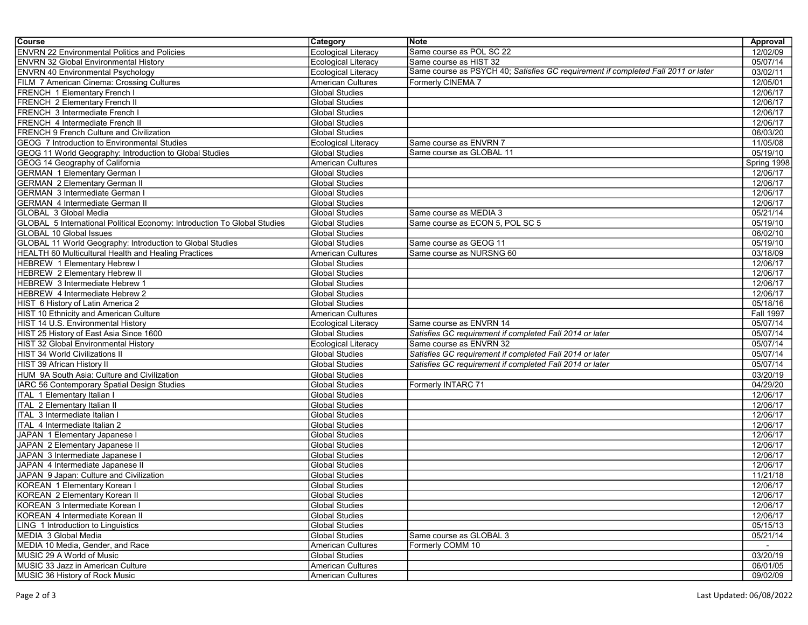| <b>Ecological Literacy</b><br>Same course as POL SC 22<br>12/02/09<br><b>ENVRN 22 Environmental Politics and Policies</b><br><b>ENVRN 32 Global Environmental History</b><br><b>Ecological Literacy</b><br>05/07/14<br>Same course as HIST 32<br>Same course as PSYCH 40; Satisfies GC requirement if completed Fall 2011 or later<br><b>ENVRN 40 Environmental Psychology</b><br><b>Ecological Literacy</b><br>03/02/11<br>FILM 7 American Cinema: Crossing Cultures<br>12/05/01<br><b>American Cultures</b><br>Formerly CINEMA 7<br><b>Global Studies</b><br>12/06/17<br><b>FRENCH 1 Elementary French I</b><br>FRENCH 2 Elementary French II<br>12/06/17<br><b>Global Studies</b><br>FRENCH 3 Intermediate French I<br>12/06/17<br><b>Global Studies</b><br>12/06/17<br>FRENCH 4 Intermediate French II<br><b>Global Studies</b><br><b>FRENCH 9 French Culture and Civilization</b><br>06/03/20<br><b>Global Studies</b><br><b>Ecological Literacy</b><br>Same course as ENVRN 7<br>11/05/08<br><b>GEOG 7 Introduction to Environmental Studies</b><br><b>Global Studies</b><br>Same course as GLOBAL 11<br>05/19/10<br>GEOG 11 World Geography: Introduction to Global Studies<br><b>GEOG 14 Geography of California</b><br><b>American Cultures</b><br>Spring 1998<br><b>GERMAN 1 Elementary German I</b><br><b>Global Studies</b><br>12/06/17<br><b>GERMAN 2 Elementary German II</b><br><b>Global Studies</b><br>12/06/17<br><b>GERMAN 3 Intermediate German I</b><br>12/06/17<br><b>Global Studies</b><br><b>GERMAN 4 Intermediate German II</b><br><b>Global Studies</b><br>12/06/17<br>05/21/14<br>GLOBAL 3 Global Media<br><b>Global Studies</b><br>Same course as MEDIA 3<br>GLOBAL 5 International Political Economy: Introduction To Global Studies<br>Same course as ECON 5, POL SC 5<br>05/19/10<br><b>Global Studies</b><br>GLOBAL 10 Global Issues<br><b>Global Studies</b><br>06/02/10<br>Same course as GEOG 11<br>05/19/10<br>GLOBAL 11 World Geography: Introduction to Global Studies<br><b>Global Studies</b><br><b>HEALTH 60 Multicultural Health and Healing Practices</b><br><b>American Cultures</b><br>Same course as NURSNG 60<br>03/18/09<br>HEBREW 1 Elementary Hebrew I<br><b>Global Studies</b><br>12/06/17<br><b>HEBREW 2 Elementary Hebrew II</b><br>12/06/17<br><b>Global Studies</b><br>HEBREW 3 Intermediate Hebrew 1<br>12/06/17<br><b>Global Studies</b><br>12/06/17<br><b>Global Studies</b><br>HEBREW 4 Intermediate Hebrew 2<br>05/18/16<br>HIST 6 History of Latin America 2<br><b>Global Studies</b><br><b>Fall 1997</b><br>HIST 10 Ethnicity and American Culture<br>American Cultures<br>HIST 14 U.S. Environmental History<br>05/07/14<br><b>Ecological Literacy</b><br>Same course as ENVRN 14<br>HIST 25 History of East Asia Since 1600<br>Satisfies GC requirement if completed Fall 2014 or later<br>05/07/14<br><b>Global Studies</b><br>Same course as ENVRN 32<br>05/07/14<br>HIST 32 Global Environmental History<br><b>Ecological Literacy</b><br>Satisfies GC requirement if completed Fall 2014 or later<br>HIST 34 World Civilizations II<br><b>Global Studies</b><br>05/07/14<br><b>Global Studies</b><br>Satisfies GC requirement if completed Fall 2014 or later<br>05/07/14<br>HIST 39 African History II<br>03/20/19<br>HUM 9A South Asia: Culture and Civilization<br><b>Global Studies</b><br><b>Global Studies</b><br>Formerly INTARC 71<br>04/29/20<br>IARC 56 Contemporary Spatial Design Studies<br>12/06/17<br>ITAL 1 Elementary Italian I<br><b>Global Studies</b><br><b>ITAL 2 Elementary Italian II</b><br><b>Global Studies</b><br>12/06/17<br>12/06/17<br>ITAL 3 Intermediate Italian I<br><b>Global Studies</b><br>ITAL 4 Intermediate Italian 2<br>12/06/17<br><b>Global Studies</b><br>12/06/17<br>JAPAN 1 Elementary Japanese I<br><b>Global Studies</b><br>12/06/17<br>JAPAN 2 Elementary Japanese II<br><b>Global Studies</b><br>JAPAN 3 Intermediate Japanese I<br>12/06/17<br><b>Global Studies</b><br>12/06/17<br>JAPAN 4 Intermediate Japanese II<br><b>Global Studies</b><br>JAPAN 9 Japan: Culture and Civilization<br>11/21/18<br><b>Global Studies</b><br>KOREAN 1 Elementary Korean I<br><b>Global Studies</b><br>12/06/17<br>KOREAN 2 Elementary Korean II<br><b>Global Studies</b><br>12/06/17<br>KOREAN 3 Intermediate Korean I<br><b>Global Studies</b><br>12/06/17<br>12/06/17<br>KOREAN 4 Intermediate Korean II<br><b>Global Studies</b><br><b>Global Studies</b><br>LING 1 Introduction to Linguistics<br>05/15/13<br>MEDIA 3 Global Media<br><b>Global Studies</b><br>Same course as GLOBAL 3<br>05/21/14<br>Formerly COMM 10<br>MEDIA 10 Media, Gender, and Race<br>American Cultures<br>$\sim$<br>MUSIC 29 A World of Music<br>Global Studies<br>03/20/19<br>MUSIC 33 Jazz in American Culture<br>American Cultures<br>06/01/05<br>MUSIC 36 History of Rock Music<br>American Cultures<br>09/02/09 | Course | <b>Category</b> | Note | Approval |
|-------------------------------------------------------------------------------------------------------------------------------------------------------------------------------------------------------------------------------------------------------------------------------------------------------------------------------------------------------------------------------------------------------------------------------------------------------------------------------------------------------------------------------------------------------------------------------------------------------------------------------------------------------------------------------------------------------------------------------------------------------------------------------------------------------------------------------------------------------------------------------------------------------------------------------------------------------------------------------------------------------------------------------------------------------------------------------------------------------------------------------------------------------------------------------------------------------------------------------------------------------------------------------------------------------------------------------------------------------------------------------------------------------------------------------------------------------------------------------------------------------------------------------------------------------------------------------------------------------------------------------------------------------------------------------------------------------------------------------------------------------------------------------------------------------------------------------------------------------------------------------------------------------------------------------------------------------------------------------------------------------------------------------------------------------------------------------------------------------------------------------------------------------------------------------------------------------------------------------------------------------------------------------------------------------------------------------------------------------------------------------------------------------------------------------------------------------------------------------------------------------------------------------------------------------------------------------------------------------------------------------------------------------------------------------------------------------------------------------------------------------------------------------------------------------------------------------------------------------------------------------------------------------------------------------------------------------------------------------------------------------------------------------------------------------------------------------------------------------------------------------------------------------------------------------------------------------------------------------------------------------------------------------------------------------------------------------------------------------------------------------------------------------------------------------------------------------------------------------------------------------------------------------------------------------------------------------------------------------------------------------------------------------------------------------------------------------------------------------------------------------------------------------------------------------------------------------------------------------------------------------------------------------------------------------------------------------------------------------------------------------------------------------------------------------------------------------------------------------------------------------------------------------------------------------------------------------------------------------------------------------------------------------------------------------------------------------------------------------------------------------------------------------------------------------------------------------------------------------------------------------------------------------------------------------------------------------------------------------------------------------------------------------------------------------------------------------------------------------------------------------------------------------------------------------------------------------------------------------------------------------------------------------------|--------|-----------------|------|----------|
|                                                                                                                                                                                                                                                                                                                                                                                                                                                                                                                                                                                                                                                                                                                                                                                                                                                                                                                                                                                                                                                                                                                                                                                                                                                                                                                                                                                                                                                                                                                                                                                                                                                                                                                                                                                                                                                                                                                                                                                                                                                                                                                                                                                                                                                                                                                                                                                                                                                                                                                                                                                                                                                                                                                                                                                                                                                                                                                                                                                                                                                                                                                                                                                                                                                                                                                                                                                                                                                                                                                                                                                                                                                                                                                                                                                                                                                                                                                                                                                                                                                                                                                                                                                                                                                                                                                                                                                                                                                                                                                                                                                                                                                                                                                                                                                                                                                                                                             |        |                 |      |          |
|                                                                                                                                                                                                                                                                                                                                                                                                                                                                                                                                                                                                                                                                                                                                                                                                                                                                                                                                                                                                                                                                                                                                                                                                                                                                                                                                                                                                                                                                                                                                                                                                                                                                                                                                                                                                                                                                                                                                                                                                                                                                                                                                                                                                                                                                                                                                                                                                                                                                                                                                                                                                                                                                                                                                                                                                                                                                                                                                                                                                                                                                                                                                                                                                                                                                                                                                                                                                                                                                                                                                                                                                                                                                                                                                                                                                                                                                                                                                                                                                                                                                                                                                                                                                                                                                                                                                                                                                                                                                                                                                                                                                                                                                                                                                                                                                                                                                                                             |        |                 |      |          |
|                                                                                                                                                                                                                                                                                                                                                                                                                                                                                                                                                                                                                                                                                                                                                                                                                                                                                                                                                                                                                                                                                                                                                                                                                                                                                                                                                                                                                                                                                                                                                                                                                                                                                                                                                                                                                                                                                                                                                                                                                                                                                                                                                                                                                                                                                                                                                                                                                                                                                                                                                                                                                                                                                                                                                                                                                                                                                                                                                                                                                                                                                                                                                                                                                                                                                                                                                                                                                                                                                                                                                                                                                                                                                                                                                                                                                                                                                                                                                                                                                                                                                                                                                                                                                                                                                                                                                                                                                                                                                                                                                                                                                                                                                                                                                                                                                                                                                                             |        |                 |      |          |
|                                                                                                                                                                                                                                                                                                                                                                                                                                                                                                                                                                                                                                                                                                                                                                                                                                                                                                                                                                                                                                                                                                                                                                                                                                                                                                                                                                                                                                                                                                                                                                                                                                                                                                                                                                                                                                                                                                                                                                                                                                                                                                                                                                                                                                                                                                                                                                                                                                                                                                                                                                                                                                                                                                                                                                                                                                                                                                                                                                                                                                                                                                                                                                                                                                                                                                                                                                                                                                                                                                                                                                                                                                                                                                                                                                                                                                                                                                                                                                                                                                                                                                                                                                                                                                                                                                                                                                                                                                                                                                                                                                                                                                                                                                                                                                                                                                                                                                             |        |                 |      |          |
|                                                                                                                                                                                                                                                                                                                                                                                                                                                                                                                                                                                                                                                                                                                                                                                                                                                                                                                                                                                                                                                                                                                                                                                                                                                                                                                                                                                                                                                                                                                                                                                                                                                                                                                                                                                                                                                                                                                                                                                                                                                                                                                                                                                                                                                                                                                                                                                                                                                                                                                                                                                                                                                                                                                                                                                                                                                                                                                                                                                                                                                                                                                                                                                                                                                                                                                                                                                                                                                                                                                                                                                                                                                                                                                                                                                                                                                                                                                                                                                                                                                                                                                                                                                                                                                                                                                                                                                                                                                                                                                                                                                                                                                                                                                                                                                                                                                                                                             |        |                 |      |          |
|                                                                                                                                                                                                                                                                                                                                                                                                                                                                                                                                                                                                                                                                                                                                                                                                                                                                                                                                                                                                                                                                                                                                                                                                                                                                                                                                                                                                                                                                                                                                                                                                                                                                                                                                                                                                                                                                                                                                                                                                                                                                                                                                                                                                                                                                                                                                                                                                                                                                                                                                                                                                                                                                                                                                                                                                                                                                                                                                                                                                                                                                                                                                                                                                                                                                                                                                                                                                                                                                                                                                                                                                                                                                                                                                                                                                                                                                                                                                                                                                                                                                                                                                                                                                                                                                                                                                                                                                                                                                                                                                                                                                                                                                                                                                                                                                                                                                                                             |        |                 |      |          |
|                                                                                                                                                                                                                                                                                                                                                                                                                                                                                                                                                                                                                                                                                                                                                                                                                                                                                                                                                                                                                                                                                                                                                                                                                                                                                                                                                                                                                                                                                                                                                                                                                                                                                                                                                                                                                                                                                                                                                                                                                                                                                                                                                                                                                                                                                                                                                                                                                                                                                                                                                                                                                                                                                                                                                                                                                                                                                                                                                                                                                                                                                                                                                                                                                                                                                                                                                                                                                                                                                                                                                                                                                                                                                                                                                                                                                                                                                                                                                                                                                                                                                                                                                                                                                                                                                                                                                                                                                                                                                                                                                                                                                                                                                                                                                                                                                                                                                                             |        |                 |      |          |
|                                                                                                                                                                                                                                                                                                                                                                                                                                                                                                                                                                                                                                                                                                                                                                                                                                                                                                                                                                                                                                                                                                                                                                                                                                                                                                                                                                                                                                                                                                                                                                                                                                                                                                                                                                                                                                                                                                                                                                                                                                                                                                                                                                                                                                                                                                                                                                                                                                                                                                                                                                                                                                                                                                                                                                                                                                                                                                                                                                                                                                                                                                                                                                                                                                                                                                                                                                                                                                                                                                                                                                                                                                                                                                                                                                                                                                                                                                                                                                                                                                                                                                                                                                                                                                                                                                                                                                                                                                                                                                                                                                                                                                                                                                                                                                                                                                                                                                             |        |                 |      |          |
|                                                                                                                                                                                                                                                                                                                                                                                                                                                                                                                                                                                                                                                                                                                                                                                                                                                                                                                                                                                                                                                                                                                                                                                                                                                                                                                                                                                                                                                                                                                                                                                                                                                                                                                                                                                                                                                                                                                                                                                                                                                                                                                                                                                                                                                                                                                                                                                                                                                                                                                                                                                                                                                                                                                                                                                                                                                                                                                                                                                                                                                                                                                                                                                                                                                                                                                                                                                                                                                                                                                                                                                                                                                                                                                                                                                                                                                                                                                                                                                                                                                                                                                                                                                                                                                                                                                                                                                                                                                                                                                                                                                                                                                                                                                                                                                                                                                                                                             |        |                 |      |          |
|                                                                                                                                                                                                                                                                                                                                                                                                                                                                                                                                                                                                                                                                                                                                                                                                                                                                                                                                                                                                                                                                                                                                                                                                                                                                                                                                                                                                                                                                                                                                                                                                                                                                                                                                                                                                                                                                                                                                                                                                                                                                                                                                                                                                                                                                                                                                                                                                                                                                                                                                                                                                                                                                                                                                                                                                                                                                                                                                                                                                                                                                                                                                                                                                                                                                                                                                                                                                                                                                                                                                                                                                                                                                                                                                                                                                                                                                                                                                                                                                                                                                                                                                                                                                                                                                                                                                                                                                                                                                                                                                                                                                                                                                                                                                                                                                                                                                                                             |        |                 |      |          |
|                                                                                                                                                                                                                                                                                                                                                                                                                                                                                                                                                                                                                                                                                                                                                                                                                                                                                                                                                                                                                                                                                                                                                                                                                                                                                                                                                                                                                                                                                                                                                                                                                                                                                                                                                                                                                                                                                                                                                                                                                                                                                                                                                                                                                                                                                                                                                                                                                                                                                                                                                                                                                                                                                                                                                                                                                                                                                                                                                                                                                                                                                                                                                                                                                                                                                                                                                                                                                                                                                                                                                                                                                                                                                                                                                                                                                                                                                                                                                                                                                                                                                                                                                                                                                                                                                                                                                                                                                                                                                                                                                                                                                                                                                                                                                                                                                                                                                                             |        |                 |      |          |
|                                                                                                                                                                                                                                                                                                                                                                                                                                                                                                                                                                                                                                                                                                                                                                                                                                                                                                                                                                                                                                                                                                                                                                                                                                                                                                                                                                                                                                                                                                                                                                                                                                                                                                                                                                                                                                                                                                                                                                                                                                                                                                                                                                                                                                                                                                                                                                                                                                                                                                                                                                                                                                                                                                                                                                                                                                                                                                                                                                                                                                                                                                                                                                                                                                                                                                                                                                                                                                                                                                                                                                                                                                                                                                                                                                                                                                                                                                                                                                                                                                                                                                                                                                                                                                                                                                                                                                                                                                                                                                                                                                                                                                                                                                                                                                                                                                                                                                             |        |                 |      |          |
|                                                                                                                                                                                                                                                                                                                                                                                                                                                                                                                                                                                                                                                                                                                                                                                                                                                                                                                                                                                                                                                                                                                                                                                                                                                                                                                                                                                                                                                                                                                                                                                                                                                                                                                                                                                                                                                                                                                                                                                                                                                                                                                                                                                                                                                                                                                                                                                                                                                                                                                                                                                                                                                                                                                                                                                                                                                                                                                                                                                                                                                                                                                                                                                                                                                                                                                                                                                                                                                                                                                                                                                                                                                                                                                                                                                                                                                                                                                                                                                                                                                                                                                                                                                                                                                                                                                                                                                                                                                                                                                                                                                                                                                                                                                                                                                                                                                                                                             |        |                 |      |          |
|                                                                                                                                                                                                                                                                                                                                                                                                                                                                                                                                                                                                                                                                                                                                                                                                                                                                                                                                                                                                                                                                                                                                                                                                                                                                                                                                                                                                                                                                                                                                                                                                                                                                                                                                                                                                                                                                                                                                                                                                                                                                                                                                                                                                                                                                                                                                                                                                                                                                                                                                                                                                                                                                                                                                                                                                                                                                                                                                                                                                                                                                                                                                                                                                                                                                                                                                                                                                                                                                                                                                                                                                                                                                                                                                                                                                                                                                                                                                                                                                                                                                                                                                                                                                                                                                                                                                                                                                                                                                                                                                                                                                                                                                                                                                                                                                                                                                                                             |        |                 |      |          |
|                                                                                                                                                                                                                                                                                                                                                                                                                                                                                                                                                                                                                                                                                                                                                                                                                                                                                                                                                                                                                                                                                                                                                                                                                                                                                                                                                                                                                                                                                                                                                                                                                                                                                                                                                                                                                                                                                                                                                                                                                                                                                                                                                                                                                                                                                                                                                                                                                                                                                                                                                                                                                                                                                                                                                                                                                                                                                                                                                                                                                                                                                                                                                                                                                                                                                                                                                                                                                                                                                                                                                                                                                                                                                                                                                                                                                                                                                                                                                                                                                                                                                                                                                                                                                                                                                                                                                                                                                                                                                                                                                                                                                                                                                                                                                                                                                                                                                                             |        |                 |      |          |
|                                                                                                                                                                                                                                                                                                                                                                                                                                                                                                                                                                                                                                                                                                                                                                                                                                                                                                                                                                                                                                                                                                                                                                                                                                                                                                                                                                                                                                                                                                                                                                                                                                                                                                                                                                                                                                                                                                                                                                                                                                                                                                                                                                                                                                                                                                                                                                                                                                                                                                                                                                                                                                                                                                                                                                                                                                                                                                                                                                                                                                                                                                                                                                                                                                                                                                                                                                                                                                                                                                                                                                                                                                                                                                                                                                                                                                                                                                                                                                                                                                                                                                                                                                                                                                                                                                                                                                                                                                                                                                                                                                                                                                                                                                                                                                                                                                                                                                             |        |                 |      |          |
|                                                                                                                                                                                                                                                                                                                                                                                                                                                                                                                                                                                                                                                                                                                                                                                                                                                                                                                                                                                                                                                                                                                                                                                                                                                                                                                                                                                                                                                                                                                                                                                                                                                                                                                                                                                                                                                                                                                                                                                                                                                                                                                                                                                                                                                                                                                                                                                                                                                                                                                                                                                                                                                                                                                                                                                                                                                                                                                                                                                                                                                                                                                                                                                                                                                                                                                                                                                                                                                                                                                                                                                                                                                                                                                                                                                                                                                                                                                                                                                                                                                                                                                                                                                                                                                                                                                                                                                                                                                                                                                                                                                                                                                                                                                                                                                                                                                                                                             |        |                 |      |          |
|                                                                                                                                                                                                                                                                                                                                                                                                                                                                                                                                                                                                                                                                                                                                                                                                                                                                                                                                                                                                                                                                                                                                                                                                                                                                                                                                                                                                                                                                                                                                                                                                                                                                                                                                                                                                                                                                                                                                                                                                                                                                                                                                                                                                                                                                                                                                                                                                                                                                                                                                                                                                                                                                                                                                                                                                                                                                                                                                                                                                                                                                                                                                                                                                                                                                                                                                                                                                                                                                                                                                                                                                                                                                                                                                                                                                                                                                                                                                                                                                                                                                                                                                                                                                                                                                                                                                                                                                                                                                                                                                                                                                                                                                                                                                                                                                                                                                                                             |        |                 |      |          |
|                                                                                                                                                                                                                                                                                                                                                                                                                                                                                                                                                                                                                                                                                                                                                                                                                                                                                                                                                                                                                                                                                                                                                                                                                                                                                                                                                                                                                                                                                                                                                                                                                                                                                                                                                                                                                                                                                                                                                                                                                                                                                                                                                                                                                                                                                                                                                                                                                                                                                                                                                                                                                                                                                                                                                                                                                                                                                                                                                                                                                                                                                                                                                                                                                                                                                                                                                                                                                                                                                                                                                                                                                                                                                                                                                                                                                                                                                                                                                                                                                                                                                                                                                                                                                                                                                                                                                                                                                                                                                                                                                                                                                                                                                                                                                                                                                                                                                                             |        |                 |      |          |
|                                                                                                                                                                                                                                                                                                                                                                                                                                                                                                                                                                                                                                                                                                                                                                                                                                                                                                                                                                                                                                                                                                                                                                                                                                                                                                                                                                                                                                                                                                                                                                                                                                                                                                                                                                                                                                                                                                                                                                                                                                                                                                                                                                                                                                                                                                                                                                                                                                                                                                                                                                                                                                                                                                                                                                                                                                                                                                                                                                                                                                                                                                                                                                                                                                                                                                                                                                                                                                                                                                                                                                                                                                                                                                                                                                                                                                                                                                                                                                                                                                                                                                                                                                                                                                                                                                                                                                                                                                                                                                                                                                                                                                                                                                                                                                                                                                                                                                             |        |                 |      |          |
|                                                                                                                                                                                                                                                                                                                                                                                                                                                                                                                                                                                                                                                                                                                                                                                                                                                                                                                                                                                                                                                                                                                                                                                                                                                                                                                                                                                                                                                                                                                                                                                                                                                                                                                                                                                                                                                                                                                                                                                                                                                                                                                                                                                                                                                                                                                                                                                                                                                                                                                                                                                                                                                                                                                                                                                                                                                                                                                                                                                                                                                                                                                                                                                                                                                                                                                                                                                                                                                                                                                                                                                                                                                                                                                                                                                                                                                                                                                                                                                                                                                                                                                                                                                                                                                                                                                                                                                                                                                                                                                                                                                                                                                                                                                                                                                                                                                                                                             |        |                 |      |          |
|                                                                                                                                                                                                                                                                                                                                                                                                                                                                                                                                                                                                                                                                                                                                                                                                                                                                                                                                                                                                                                                                                                                                                                                                                                                                                                                                                                                                                                                                                                                                                                                                                                                                                                                                                                                                                                                                                                                                                                                                                                                                                                                                                                                                                                                                                                                                                                                                                                                                                                                                                                                                                                                                                                                                                                                                                                                                                                                                                                                                                                                                                                                                                                                                                                                                                                                                                                                                                                                                                                                                                                                                                                                                                                                                                                                                                                                                                                                                                                                                                                                                                                                                                                                                                                                                                                                                                                                                                                                                                                                                                                                                                                                                                                                                                                                                                                                                                                             |        |                 |      |          |
|                                                                                                                                                                                                                                                                                                                                                                                                                                                                                                                                                                                                                                                                                                                                                                                                                                                                                                                                                                                                                                                                                                                                                                                                                                                                                                                                                                                                                                                                                                                                                                                                                                                                                                                                                                                                                                                                                                                                                                                                                                                                                                                                                                                                                                                                                                                                                                                                                                                                                                                                                                                                                                                                                                                                                                                                                                                                                                                                                                                                                                                                                                                                                                                                                                                                                                                                                                                                                                                                                                                                                                                                                                                                                                                                                                                                                                                                                                                                                                                                                                                                                                                                                                                                                                                                                                                                                                                                                                                                                                                                                                                                                                                                                                                                                                                                                                                                                                             |        |                 |      |          |
|                                                                                                                                                                                                                                                                                                                                                                                                                                                                                                                                                                                                                                                                                                                                                                                                                                                                                                                                                                                                                                                                                                                                                                                                                                                                                                                                                                                                                                                                                                                                                                                                                                                                                                                                                                                                                                                                                                                                                                                                                                                                                                                                                                                                                                                                                                                                                                                                                                                                                                                                                                                                                                                                                                                                                                                                                                                                                                                                                                                                                                                                                                                                                                                                                                                                                                                                                                                                                                                                                                                                                                                                                                                                                                                                                                                                                                                                                                                                                                                                                                                                                                                                                                                                                                                                                                                                                                                                                                                                                                                                                                                                                                                                                                                                                                                                                                                                                                             |        |                 |      |          |
|                                                                                                                                                                                                                                                                                                                                                                                                                                                                                                                                                                                                                                                                                                                                                                                                                                                                                                                                                                                                                                                                                                                                                                                                                                                                                                                                                                                                                                                                                                                                                                                                                                                                                                                                                                                                                                                                                                                                                                                                                                                                                                                                                                                                                                                                                                                                                                                                                                                                                                                                                                                                                                                                                                                                                                                                                                                                                                                                                                                                                                                                                                                                                                                                                                                                                                                                                                                                                                                                                                                                                                                                                                                                                                                                                                                                                                                                                                                                                                                                                                                                                                                                                                                                                                                                                                                                                                                                                                                                                                                                                                                                                                                                                                                                                                                                                                                                                                             |        |                 |      |          |
|                                                                                                                                                                                                                                                                                                                                                                                                                                                                                                                                                                                                                                                                                                                                                                                                                                                                                                                                                                                                                                                                                                                                                                                                                                                                                                                                                                                                                                                                                                                                                                                                                                                                                                                                                                                                                                                                                                                                                                                                                                                                                                                                                                                                                                                                                                                                                                                                                                                                                                                                                                                                                                                                                                                                                                                                                                                                                                                                                                                                                                                                                                                                                                                                                                                                                                                                                                                                                                                                                                                                                                                                                                                                                                                                                                                                                                                                                                                                                                                                                                                                                                                                                                                                                                                                                                                                                                                                                                                                                                                                                                                                                                                                                                                                                                                                                                                                                                             |        |                 |      |          |
|                                                                                                                                                                                                                                                                                                                                                                                                                                                                                                                                                                                                                                                                                                                                                                                                                                                                                                                                                                                                                                                                                                                                                                                                                                                                                                                                                                                                                                                                                                                                                                                                                                                                                                                                                                                                                                                                                                                                                                                                                                                                                                                                                                                                                                                                                                                                                                                                                                                                                                                                                                                                                                                                                                                                                                                                                                                                                                                                                                                                                                                                                                                                                                                                                                                                                                                                                                                                                                                                                                                                                                                                                                                                                                                                                                                                                                                                                                                                                                                                                                                                                                                                                                                                                                                                                                                                                                                                                                                                                                                                                                                                                                                                                                                                                                                                                                                                                                             |        |                 |      |          |
|                                                                                                                                                                                                                                                                                                                                                                                                                                                                                                                                                                                                                                                                                                                                                                                                                                                                                                                                                                                                                                                                                                                                                                                                                                                                                                                                                                                                                                                                                                                                                                                                                                                                                                                                                                                                                                                                                                                                                                                                                                                                                                                                                                                                                                                                                                                                                                                                                                                                                                                                                                                                                                                                                                                                                                                                                                                                                                                                                                                                                                                                                                                                                                                                                                                                                                                                                                                                                                                                                                                                                                                                                                                                                                                                                                                                                                                                                                                                                                                                                                                                                                                                                                                                                                                                                                                                                                                                                                                                                                                                                                                                                                                                                                                                                                                                                                                                                                             |        |                 |      |          |
|                                                                                                                                                                                                                                                                                                                                                                                                                                                                                                                                                                                                                                                                                                                                                                                                                                                                                                                                                                                                                                                                                                                                                                                                                                                                                                                                                                                                                                                                                                                                                                                                                                                                                                                                                                                                                                                                                                                                                                                                                                                                                                                                                                                                                                                                                                                                                                                                                                                                                                                                                                                                                                                                                                                                                                                                                                                                                                                                                                                                                                                                                                                                                                                                                                                                                                                                                                                                                                                                                                                                                                                                                                                                                                                                                                                                                                                                                                                                                                                                                                                                                                                                                                                                                                                                                                                                                                                                                                                                                                                                                                                                                                                                                                                                                                                                                                                                                                             |        |                 |      |          |
|                                                                                                                                                                                                                                                                                                                                                                                                                                                                                                                                                                                                                                                                                                                                                                                                                                                                                                                                                                                                                                                                                                                                                                                                                                                                                                                                                                                                                                                                                                                                                                                                                                                                                                                                                                                                                                                                                                                                                                                                                                                                                                                                                                                                                                                                                                                                                                                                                                                                                                                                                                                                                                                                                                                                                                                                                                                                                                                                                                                                                                                                                                                                                                                                                                                                                                                                                                                                                                                                                                                                                                                                                                                                                                                                                                                                                                                                                                                                                                                                                                                                                                                                                                                                                                                                                                                                                                                                                                                                                                                                                                                                                                                                                                                                                                                                                                                                                                             |        |                 |      |          |
|                                                                                                                                                                                                                                                                                                                                                                                                                                                                                                                                                                                                                                                                                                                                                                                                                                                                                                                                                                                                                                                                                                                                                                                                                                                                                                                                                                                                                                                                                                                                                                                                                                                                                                                                                                                                                                                                                                                                                                                                                                                                                                                                                                                                                                                                                                                                                                                                                                                                                                                                                                                                                                                                                                                                                                                                                                                                                                                                                                                                                                                                                                                                                                                                                                                                                                                                                                                                                                                                                                                                                                                                                                                                                                                                                                                                                                                                                                                                                                                                                                                                                                                                                                                                                                                                                                                                                                                                                                                                                                                                                                                                                                                                                                                                                                                                                                                                                                             |        |                 |      |          |
|                                                                                                                                                                                                                                                                                                                                                                                                                                                                                                                                                                                                                                                                                                                                                                                                                                                                                                                                                                                                                                                                                                                                                                                                                                                                                                                                                                                                                                                                                                                                                                                                                                                                                                                                                                                                                                                                                                                                                                                                                                                                                                                                                                                                                                                                                                                                                                                                                                                                                                                                                                                                                                                                                                                                                                                                                                                                                                                                                                                                                                                                                                                                                                                                                                                                                                                                                                                                                                                                                                                                                                                                                                                                                                                                                                                                                                                                                                                                                                                                                                                                                                                                                                                                                                                                                                                                                                                                                                                                                                                                                                                                                                                                                                                                                                                                                                                                                                             |        |                 |      |          |
|                                                                                                                                                                                                                                                                                                                                                                                                                                                                                                                                                                                                                                                                                                                                                                                                                                                                                                                                                                                                                                                                                                                                                                                                                                                                                                                                                                                                                                                                                                                                                                                                                                                                                                                                                                                                                                                                                                                                                                                                                                                                                                                                                                                                                                                                                                                                                                                                                                                                                                                                                                                                                                                                                                                                                                                                                                                                                                                                                                                                                                                                                                                                                                                                                                                                                                                                                                                                                                                                                                                                                                                                                                                                                                                                                                                                                                                                                                                                                                                                                                                                                                                                                                                                                                                                                                                                                                                                                                                                                                                                                                                                                                                                                                                                                                                                                                                                                                             |        |                 |      |          |
|                                                                                                                                                                                                                                                                                                                                                                                                                                                                                                                                                                                                                                                                                                                                                                                                                                                                                                                                                                                                                                                                                                                                                                                                                                                                                                                                                                                                                                                                                                                                                                                                                                                                                                                                                                                                                                                                                                                                                                                                                                                                                                                                                                                                                                                                                                                                                                                                                                                                                                                                                                                                                                                                                                                                                                                                                                                                                                                                                                                                                                                                                                                                                                                                                                                                                                                                                                                                                                                                                                                                                                                                                                                                                                                                                                                                                                                                                                                                                                                                                                                                                                                                                                                                                                                                                                                                                                                                                                                                                                                                                                                                                                                                                                                                                                                                                                                                                                             |        |                 |      |          |
|                                                                                                                                                                                                                                                                                                                                                                                                                                                                                                                                                                                                                                                                                                                                                                                                                                                                                                                                                                                                                                                                                                                                                                                                                                                                                                                                                                                                                                                                                                                                                                                                                                                                                                                                                                                                                                                                                                                                                                                                                                                                                                                                                                                                                                                                                                                                                                                                                                                                                                                                                                                                                                                                                                                                                                                                                                                                                                                                                                                                                                                                                                                                                                                                                                                                                                                                                                                                                                                                                                                                                                                                                                                                                                                                                                                                                                                                                                                                                                                                                                                                                                                                                                                                                                                                                                                                                                                                                                                                                                                                                                                                                                                                                                                                                                                                                                                                                                             |        |                 |      |          |
|                                                                                                                                                                                                                                                                                                                                                                                                                                                                                                                                                                                                                                                                                                                                                                                                                                                                                                                                                                                                                                                                                                                                                                                                                                                                                                                                                                                                                                                                                                                                                                                                                                                                                                                                                                                                                                                                                                                                                                                                                                                                                                                                                                                                                                                                                                                                                                                                                                                                                                                                                                                                                                                                                                                                                                                                                                                                                                                                                                                                                                                                                                                                                                                                                                                                                                                                                                                                                                                                                                                                                                                                                                                                                                                                                                                                                                                                                                                                                                                                                                                                                                                                                                                                                                                                                                                                                                                                                                                                                                                                                                                                                                                                                                                                                                                                                                                                                                             |        |                 |      |          |
|                                                                                                                                                                                                                                                                                                                                                                                                                                                                                                                                                                                                                                                                                                                                                                                                                                                                                                                                                                                                                                                                                                                                                                                                                                                                                                                                                                                                                                                                                                                                                                                                                                                                                                                                                                                                                                                                                                                                                                                                                                                                                                                                                                                                                                                                                                                                                                                                                                                                                                                                                                                                                                                                                                                                                                                                                                                                                                                                                                                                                                                                                                                                                                                                                                                                                                                                                                                                                                                                                                                                                                                                                                                                                                                                                                                                                                                                                                                                                                                                                                                                                                                                                                                                                                                                                                                                                                                                                                                                                                                                                                                                                                                                                                                                                                                                                                                                                                             |        |                 |      |          |
|                                                                                                                                                                                                                                                                                                                                                                                                                                                                                                                                                                                                                                                                                                                                                                                                                                                                                                                                                                                                                                                                                                                                                                                                                                                                                                                                                                                                                                                                                                                                                                                                                                                                                                                                                                                                                                                                                                                                                                                                                                                                                                                                                                                                                                                                                                                                                                                                                                                                                                                                                                                                                                                                                                                                                                                                                                                                                                                                                                                                                                                                                                                                                                                                                                                                                                                                                                                                                                                                                                                                                                                                                                                                                                                                                                                                                                                                                                                                                                                                                                                                                                                                                                                                                                                                                                                                                                                                                                                                                                                                                                                                                                                                                                                                                                                                                                                                                                             |        |                 |      |          |
|                                                                                                                                                                                                                                                                                                                                                                                                                                                                                                                                                                                                                                                                                                                                                                                                                                                                                                                                                                                                                                                                                                                                                                                                                                                                                                                                                                                                                                                                                                                                                                                                                                                                                                                                                                                                                                                                                                                                                                                                                                                                                                                                                                                                                                                                                                                                                                                                                                                                                                                                                                                                                                                                                                                                                                                                                                                                                                                                                                                                                                                                                                                                                                                                                                                                                                                                                                                                                                                                                                                                                                                                                                                                                                                                                                                                                                                                                                                                                                                                                                                                                                                                                                                                                                                                                                                                                                                                                                                                                                                                                                                                                                                                                                                                                                                                                                                                                                             |        |                 |      |          |
|                                                                                                                                                                                                                                                                                                                                                                                                                                                                                                                                                                                                                                                                                                                                                                                                                                                                                                                                                                                                                                                                                                                                                                                                                                                                                                                                                                                                                                                                                                                                                                                                                                                                                                                                                                                                                                                                                                                                                                                                                                                                                                                                                                                                                                                                                                                                                                                                                                                                                                                                                                                                                                                                                                                                                                                                                                                                                                                                                                                                                                                                                                                                                                                                                                                                                                                                                                                                                                                                                                                                                                                                                                                                                                                                                                                                                                                                                                                                                                                                                                                                                                                                                                                                                                                                                                                                                                                                                                                                                                                                                                                                                                                                                                                                                                                                                                                                                                             |        |                 |      |          |
|                                                                                                                                                                                                                                                                                                                                                                                                                                                                                                                                                                                                                                                                                                                                                                                                                                                                                                                                                                                                                                                                                                                                                                                                                                                                                                                                                                                                                                                                                                                                                                                                                                                                                                                                                                                                                                                                                                                                                                                                                                                                                                                                                                                                                                                                                                                                                                                                                                                                                                                                                                                                                                                                                                                                                                                                                                                                                                                                                                                                                                                                                                                                                                                                                                                                                                                                                                                                                                                                                                                                                                                                                                                                                                                                                                                                                                                                                                                                                                                                                                                                                                                                                                                                                                                                                                                                                                                                                                                                                                                                                                                                                                                                                                                                                                                                                                                                                                             |        |                 |      |          |
|                                                                                                                                                                                                                                                                                                                                                                                                                                                                                                                                                                                                                                                                                                                                                                                                                                                                                                                                                                                                                                                                                                                                                                                                                                                                                                                                                                                                                                                                                                                                                                                                                                                                                                                                                                                                                                                                                                                                                                                                                                                                                                                                                                                                                                                                                                                                                                                                                                                                                                                                                                                                                                                                                                                                                                                                                                                                                                                                                                                                                                                                                                                                                                                                                                                                                                                                                                                                                                                                                                                                                                                                                                                                                                                                                                                                                                                                                                                                                                                                                                                                                                                                                                                                                                                                                                                                                                                                                                                                                                                                                                                                                                                                                                                                                                                                                                                                                                             |        |                 |      |          |
|                                                                                                                                                                                                                                                                                                                                                                                                                                                                                                                                                                                                                                                                                                                                                                                                                                                                                                                                                                                                                                                                                                                                                                                                                                                                                                                                                                                                                                                                                                                                                                                                                                                                                                                                                                                                                                                                                                                                                                                                                                                                                                                                                                                                                                                                                                                                                                                                                                                                                                                                                                                                                                                                                                                                                                                                                                                                                                                                                                                                                                                                                                                                                                                                                                                                                                                                                                                                                                                                                                                                                                                                                                                                                                                                                                                                                                                                                                                                                                                                                                                                                                                                                                                                                                                                                                                                                                                                                                                                                                                                                                                                                                                                                                                                                                                                                                                                                                             |        |                 |      |          |
|                                                                                                                                                                                                                                                                                                                                                                                                                                                                                                                                                                                                                                                                                                                                                                                                                                                                                                                                                                                                                                                                                                                                                                                                                                                                                                                                                                                                                                                                                                                                                                                                                                                                                                                                                                                                                                                                                                                                                                                                                                                                                                                                                                                                                                                                                                                                                                                                                                                                                                                                                                                                                                                                                                                                                                                                                                                                                                                                                                                                                                                                                                                                                                                                                                                                                                                                                                                                                                                                                                                                                                                                                                                                                                                                                                                                                                                                                                                                                                                                                                                                                                                                                                                                                                                                                                                                                                                                                                                                                                                                                                                                                                                                                                                                                                                                                                                                                                             |        |                 |      |          |
|                                                                                                                                                                                                                                                                                                                                                                                                                                                                                                                                                                                                                                                                                                                                                                                                                                                                                                                                                                                                                                                                                                                                                                                                                                                                                                                                                                                                                                                                                                                                                                                                                                                                                                                                                                                                                                                                                                                                                                                                                                                                                                                                                                                                                                                                                                                                                                                                                                                                                                                                                                                                                                                                                                                                                                                                                                                                                                                                                                                                                                                                                                                                                                                                                                                                                                                                                                                                                                                                                                                                                                                                                                                                                                                                                                                                                                                                                                                                                                                                                                                                                                                                                                                                                                                                                                                                                                                                                                                                                                                                                                                                                                                                                                                                                                                                                                                                                                             |        |                 |      |          |
|                                                                                                                                                                                                                                                                                                                                                                                                                                                                                                                                                                                                                                                                                                                                                                                                                                                                                                                                                                                                                                                                                                                                                                                                                                                                                                                                                                                                                                                                                                                                                                                                                                                                                                                                                                                                                                                                                                                                                                                                                                                                                                                                                                                                                                                                                                                                                                                                                                                                                                                                                                                                                                                                                                                                                                                                                                                                                                                                                                                                                                                                                                                                                                                                                                                                                                                                                                                                                                                                                                                                                                                                                                                                                                                                                                                                                                                                                                                                                                                                                                                                                                                                                                                                                                                                                                                                                                                                                                                                                                                                                                                                                                                                                                                                                                                                                                                                                                             |        |                 |      |          |
|                                                                                                                                                                                                                                                                                                                                                                                                                                                                                                                                                                                                                                                                                                                                                                                                                                                                                                                                                                                                                                                                                                                                                                                                                                                                                                                                                                                                                                                                                                                                                                                                                                                                                                                                                                                                                                                                                                                                                                                                                                                                                                                                                                                                                                                                                                                                                                                                                                                                                                                                                                                                                                                                                                                                                                                                                                                                                                                                                                                                                                                                                                                                                                                                                                                                                                                                                                                                                                                                                                                                                                                                                                                                                                                                                                                                                                                                                                                                                                                                                                                                                                                                                                                                                                                                                                                                                                                                                                                                                                                                                                                                                                                                                                                                                                                                                                                                                                             |        |                 |      |          |
|                                                                                                                                                                                                                                                                                                                                                                                                                                                                                                                                                                                                                                                                                                                                                                                                                                                                                                                                                                                                                                                                                                                                                                                                                                                                                                                                                                                                                                                                                                                                                                                                                                                                                                                                                                                                                                                                                                                                                                                                                                                                                                                                                                                                                                                                                                                                                                                                                                                                                                                                                                                                                                                                                                                                                                                                                                                                                                                                                                                                                                                                                                                                                                                                                                                                                                                                                                                                                                                                                                                                                                                                                                                                                                                                                                                                                                                                                                                                                                                                                                                                                                                                                                                                                                                                                                                                                                                                                                                                                                                                                                                                                                                                                                                                                                                                                                                                                                             |        |                 |      |          |
|                                                                                                                                                                                                                                                                                                                                                                                                                                                                                                                                                                                                                                                                                                                                                                                                                                                                                                                                                                                                                                                                                                                                                                                                                                                                                                                                                                                                                                                                                                                                                                                                                                                                                                                                                                                                                                                                                                                                                                                                                                                                                                                                                                                                                                                                                                                                                                                                                                                                                                                                                                                                                                                                                                                                                                                                                                                                                                                                                                                                                                                                                                                                                                                                                                                                                                                                                                                                                                                                                                                                                                                                                                                                                                                                                                                                                                                                                                                                                                                                                                                                                                                                                                                                                                                                                                                                                                                                                                                                                                                                                                                                                                                                                                                                                                                                                                                                                                             |        |                 |      |          |
|                                                                                                                                                                                                                                                                                                                                                                                                                                                                                                                                                                                                                                                                                                                                                                                                                                                                                                                                                                                                                                                                                                                                                                                                                                                                                                                                                                                                                                                                                                                                                                                                                                                                                                                                                                                                                                                                                                                                                                                                                                                                                                                                                                                                                                                                                                                                                                                                                                                                                                                                                                                                                                                                                                                                                                                                                                                                                                                                                                                                                                                                                                                                                                                                                                                                                                                                                                                                                                                                                                                                                                                                                                                                                                                                                                                                                                                                                                                                                                                                                                                                                                                                                                                                                                                                                                                                                                                                                                                                                                                                                                                                                                                                                                                                                                                                                                                                                                             |        |                 |      |          |
|                                                                                                                                                                                                                                                                                                                                                                                                                                                                                                                                                                                                                                                                                                                                                                                                                                                                                                                                                                                                                                                                                                                                                                                                                                                                                                                                                                                                                                                                                                                                                                                                                                                                                                                                                                                                                                                                                                                                                                                                                                                                                                                                                                                                                                                                                                                                                                                                                                                                                                                                                                                                                                                                                                                                                                                                                                                                                                                                                                                                                                                                                                                                                                                                                                                                                                                                                                                                                                                                                                                                                                                                                                                                                                                                                                                                                                                                                                                                                                                                                                                                                                                                                                                                                                                                                                                                                                                                                                                                                                                                                                                                                                                                                                                                                                                                                                                                                                             |        |                 |      |          |
|                                                                                                                                                                                                                                                                                                                                                                                                                                                                                                                                                                                                                                                                                                                                                                                                                                                                                                                                                                                                                                                                                                                                                                                                                                                                                                                                                                                                                                                                                                                                                                                                                                                                                                                                                                                                                                                                                                                                                                                                                                                                                                                                                                                                                                                                                                                                                                                                                                                                                                                                                                                                                                                                                                                                                                                                                                                                                                                                                                                                                                                                                                                                                                                                                                                                                                                                                                                                                                                                                                                                                                                                                                                                                                                                                                                                                                                                                                                                                                                                                                                                                                                                                                                                                                                                                                                                                                                                                                                                                                                                                                                                                                                                                                                                                                                                                                                                                                             |        |                 |      |          |
|                                                                                                                                                                                                                                                                                                                                                                                                                                                                                                                                                                                                                                                                                                                                                                                                                                                                                                                                                                                                                                                                                                                                                                                                                                                                                                                                                                                                                                                                                                                                                                                                                                                                                                                                                                                                                                                                                                                                                                                                                                                                                                                                                                                                                                                                                                                                                                                                                                                                                                                                                                                                                                                                                                                                                                                                                                                                                                                                                                                                                                                                                                                                                                                                                                                                                                                                                                                                                                                                                                                                                                                                                                                                                                                                                                                                                                                                                                                                                                                                                                                                                                                                                                                                                                                                                                                                                                                                                                                                                                                                                                                                                                                                                                                                                                                                                                                                                                             |        |                 |      |          |